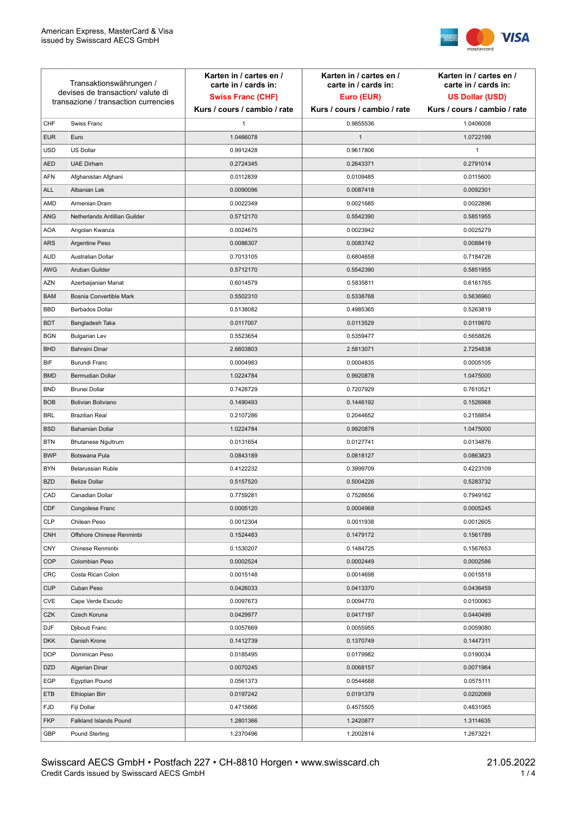

| Transaktionswährungen /<br>devises de transaction/valute di<br>transazione / transaction currencies |                               | Karten in / cartes en /<br>carte in / cards in:<br><b>Swiss Franc (CHF)</b> | Karten in / cartes en /<br>carte in / cards in:<br>Euro (EUR) | Karten in / cartes en /<br>carte in / cards in:<br><b>US Dollar (USD)</b> |
|-----------------------------------------------------------------------------------------------------|-------------------------------|-----------------------------------------------------------------------------|---------------------------------------------------------------|---------------------------------------------------------------------------|
|                                                                                                     |                               | Kurs / cours / cambio / rate                                                | Kurs / cours / cambio / rate                                  | Kurs / cours / cambio / rate                                              |
| CHF                                                                                                 | Swiss Franc                   | $\mathbf{1}$                                                                | 0.9855536                                                     | 1.0406008                                                                 |
| <b>EUR</b>                                                                                          | Euro                          | 1.0466078                                                                   | $\mathbf{1}$                                                  | 1.0722199                                                                 |
| <b>USD</b>                                                                                          | <b>US Dollar</b>              | 0.9912428                                                                   | 0.9617806                                                     | 1                                                                         |
| <b>AED</b>                                                                                          | <b>UAE Dirham</b>             | 0.2724345                                                                   | 0.2643371                                                     | 0.2791014                                                                 |
| <b>AFN</b>                                                                                          | Afghanistan Afghani           | 0.0112839                                                                   | 0.0109485                                                     | 0.0115600                                                                 |
| <b>ALL</b>                                                                                          | Albanian Lek                  | 0.0090096                                                                   | 0.0087418                                                     | 0.0092301                                                                 |
| AMD                                                                                                 | Armenian Dram                 | 0.0022349                                                                   | 0.0021685                                                     | 0.0022896                                                                 |
| ANG                                                                                                 | Netherlands Antillian Guilder | 0.5712170                                                                   | 0.5542390                                                     | 0.5851955                                                                 |
| <b>AOA</b>                                                                                          | Angolan Kwanza                | 0.0024675                                                                   | 0.0023942                                                     | 0.0025279                                                                 |
| ARS                                                                                                 | Argentine Peso                | 0.0086307                                                                   | 0.0083742                                                     | 0.0088419                                                                 |
| <b>AUD</b>                                                                                          | Australian Dollar             | 0.7013105                                                                   | 0.6804658                                                     | 0.7184726                                                                 |
| AWG                                                                                                 | Aruban Guilder                | 0.5712170                                                                   | 0.5542390                                                     | 0.5851955                                                                 |
| <b>AZN</b>                                                                                          | Azerbaijanian Manat           | 0.6014579                                                                   | 0.5835811                                                     | 0.6161765                                                                 |
| <b>BAM</b>                                                                                          | Bosnia Convertible Mark       | 0.5502310                                                                   | 0.5338768                                                     | 0.5636960                                                                 |
| <b>BBD</b>                                                                                          | <b>Barbados Dollar</b>        | 0.5138082                                                                   | 0.4985365                                                     | 0.5263819                                                                 |
| <b>BDT</b>                                                                                          | Bangladesh Taka               | 0.0117007                                                                   | 0.0113529                                                     | 0.0119870                                                                 |
| <b>BGN</b>                                                                                          | <b>Bulgarian Lev</b>          | 0.5523654                                                                   | 0.5359477                                                     | 0.5658826                                                                 |
| <b>BHD</b>                                                                                          | Bahraini Dinar                | 2.6603803                                                                   | 2.5813071                                                     | 2.7254838                                                                 |
| BIF                                                                                                 | Burundi Franc                 | 0.0004983                                                                   | 0.0004835                                                     | 0.0005105                                                                 |
| <b>BMD</b>                                                                                          | Bermudian Dollar              | 1.0224784                                                                   | 0.9920878                                                     | 1.0475000                                                                 |
| <b>BND</b>                                                                                          | <b>Brunei Dollar</b>          | 0.7428729                                                                   | 0.7207929                                                     | 0.7610521                                                                 |
| <b>BOB</b>                                                                                          | Bolivian Boliviano            | 0.1490493                                                                   | 0.1446192                                                     | 0.1526968                                                                 |
| <b>BRL</b>                                                                                          | <b>Brazilian Real</b>         | 0.2107286                                                                   | 0.2044652                                                     | 0.2158854                                                                 |
| <b>BSD</b>                                                                                          | <b>Bahamian Dollar</b>        | 1.0224784                                                                   | 0.9920878                                                     | 1.0475000                                                                 |
| <b>BTN</b>                                                                                          | <b>Bhutanese Ngultrum</b>     | 0.0131654                                                                   | 0.0127741                                                     | 0.0134876                                                                 |
| <b>BWP</b>                                                                                          | Botswana Pula                 | 0.0843189                                                                   | 0.0818127                                                     | 0.0863823                                                                 |
| <b>BYN</b>                                                                                          | Belarussian Ruble             | 0.4122232                                                                   | 0.3999709                                                     | 0.4223109                                                                 |
| <b>BZD</b>                                                                                          | <b>Belize Dollar</b>          | 0.5157520                                                                   | 0.5004226                                                     | 0.5283732                                                                 |
| CAD                                                                                                 | Canadian Dollar               | 0.7759281                                                                   | 0.7528656                                                     | 0.7949162                                                                 |
| CDF                                                                                                 | Congolese Franc               | 0.0005120                                                                   | 0.0004968                                                     | 0.0005245                                                                 |
| <b>CLP</b>                                                                                          | Chilean Peso                  | 0.0012304                                                                   | 0.0011938                                                     | 0.0012605                                                                 |
| <b>CNH</b>                                                                                          | Offshore Chinese Renminbi     | 0.1524483                                                                   | 0.1479172                                                     | 0.1561789                                                                 |
| <b>CNY</b>                                                                                          | Chinese Renminbi              | 0.1530207                                                                   | 0.1484725                                                     | 0.1567653                                                                 |
| <b>COP</b>                                                                                          | Colombian Peso                | 0.0002524                                                                   | 0.0002449                                                     | 0.0002586                                                                 |
| CRC                                                                                                 | Costa Rican Colon             | 0.0015148                                                                   | 0.0014698                                                     | 0.0015519                                                                 |
| <b>CUP</b>                                                                                          | Cuban Peso                    | 0.0426033                                                                   | 0.0413370                                                     | 0.0436459                                                                 |
| CVE                                                                                                 | Cape Verde Escudo             | 0.0097673                                                                   | 0.0094770                                                     | 0.0100063                                                                 |
| CZK                                                                                                 | Czech Koruna                  | 0.0429977                                                                   | 0.0417197                                                     | 0.0440499                                                                 |
| DJF                                                                                                 | Djibouti Franc                | 0.0057669                                                                   | 0.0055955                                                     | 0.0059080                                                                 |
| <b>DKK</b>                                                                                          | Danish Krone                  | 0.1412739                                                                   | 0.1370749                                                     | 0.1447311                                                                 |
| <b>DOP</b>                                                                                          | Dominican Peso                | 0.0185495                                                                   | 0.0179982                                                     | 0.0190034                                                                 |
| <b>DZD</b>                                                                                          | Algerian Dinar                | 0.0070245                                                                   | 0.0068157                                                     | 0.0071964                                                                 |
| EGP                                                                                                 | Egyptian Pound                | 0.0561373                                                                   | 0.0544688                                                     | 0.0575111                                                                 |
| ETB                                                                                                 | Ethiopian Birr                | 0.0197242                                                                   | 0.0191379                                                     | 0.0202069                                                                 |
| <b>FJD</b>                                                                                          | Fiji Dollar                   | 0.4715666                                                                   | 0.4575505                                                     | 0.4831065                                                                 |
| <b>FKP</b>                                                                                          | Falkland Islands Pound        | 1.2801366                                                                   | 1.2420877                                                     | 1.3114635                                                                 |
| GBP                                                                                                 | Pound Sterling                | 1.2370496                                                                   | 1.2002814                                                     | 1.2673221                                                                 |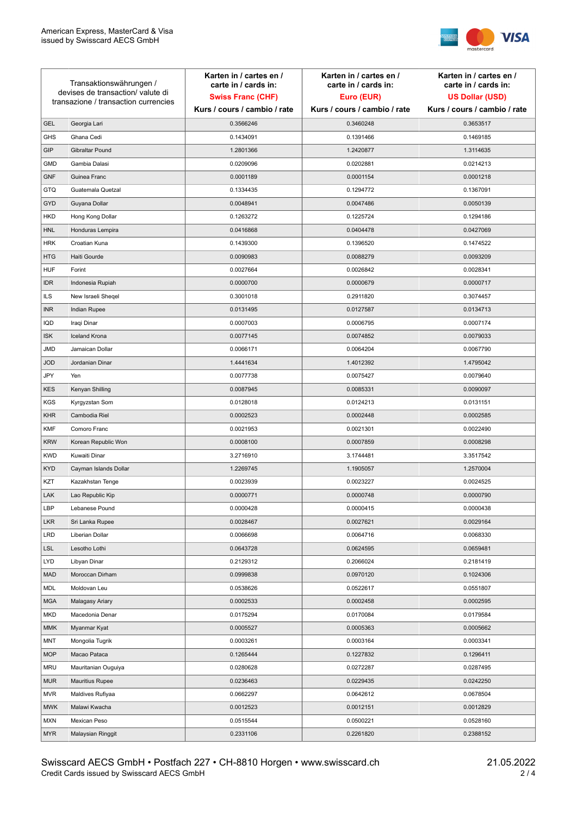

| Transaktionswährungen /<br>devises de transaction/valute di |                                      | Karten in / cartes en /<br>carte in / cards in: | Karten in / cartes en /<br>carte in / cards in: | Karten in / cartes en /<br>carte in / cards in: |
|-------------------------------------------------------------|--------------------------------------|-------------------------------------------------|-------------------------------------------------|-------------------------------------------------|
|                                                             |                                      | <b>Swiss Franc (CHF)</b>                        | Euro (EUR)                                      | <b>US Dollar (USD)</b>                          |
|                                                             | transazione / transaction currencies | Kurs / cours / cambio / rate                    | Kurs / cours / cambio / rate                    | Kurs / cours / cambio / rate                    |
| <b>GEL</b>                                                  | Georgia Lari                         | 0.3566246                                       | 0.3460248                                       | 0.3653517                                       |
| <b>GHS</b>                                                  | Ghana Cedi                           | 0.1434091                                       | 0.1391466                                       | 0.1469185                                       |
| GIP                                                         | Gibraltar Pound                      | 1.2801366                                       | 1.2420877                                       | 1.3114635                                       |
| <b>GMD</b>                                                  | Gambia Dalasi                        | 0.0209096                                       | 0.0202881                                       | 0.0214213                                       |
| <b>GNF</b>                                                  | Guinea Franc                         | 0.0001189                                       | 0.0001154                                       | 0.0001218                                       |
| <b>GTQ</b>                                                  | Guatemala Quetzal                    | 0.1334435                                       | 0.1294772                                       | 0.1367091                                       |
| GYD                                                         | Guyana Dollar                        | 0.0048941                                       | 0.0047486                                       | 0.0050139                                       |
| HKD                                                         | Hong Kong Dollar                     | 0.1263272                                       | 0.1225724                                       | 0.1294186                                       |
| <b>HNL</b>                                                  | Honduras Lempira                     | 0.0416868                                       | 0.0404478                                       | 0.0427069                                       |
| <b>HRK</b>                                                  | Croatian Kuna                        | 0.1439300                                       | 0.1396520                                       | 0.1474522                                       |
| <b>HTG</b>                                                  | Haiti Gourde                         | 0.0090983                                       | 0.0088279                                       | 0.0093209                                       |
| <b>HUF</b>                                                  | Forint                               | 0.0027664                                       | 0.0026842                                       | 0.0028341                                       |
| <b>IDR</b>                                                  | Indonesia Rupiah                     | 0.0000700                                       | 0.0000679                                       | 0.0000717                                       |
| <b>ILS</b>                                                  | New Israeli Sheqel                   | 0.3001018                                       | 0.2911820                                       | 0.3074457                                       |
| <b>INR</b>                                                  | Indian Rupee                         | 0.0131495                                       | 0.0127587                                       | 0.0134713                                       |
| IQD                                                         | Iraqi Dinar                          | 0.0007003                                       | 0.0006795                                       | 0.0007174                                       |
| <b>ISK</b>                                                  | <b>Iceland Krona</b>                 | 0.0077145                                       | 0.0074852                                       | 0.0079033                                       |
| <b>JMD</b>                                                  | Jamaican Dollar                      | 0.0066171                                       | 0.0064204                                       | 0.0067790                                       |
| <b>JOD</b>                                                  | Jordanian Dinar                      | 1.4441634                                       | 1.4012392                                       | 1.4795042                                       |
| JPY                                                         | Yen                                  | 0.0077738                                       | 0.0075427                                       | 0.0079640                                       |
| <b>KES</b>                                                  | Kenyan Shilling                      | 0.0087945                                       | 0.0085331                                       | 0.0090097                                       |
| <b>KGS</b>                                                  | Kyrgyzstan Som                       | 0.0128018                                       | 0.0124213                                       | 0.0131151                                       |
| <b>KHR</b>                                                  | Cambodia Riel                        | 0.0002523                                       | 0.0002448                                       | 0.0002585                                       |
| <b>KMF</b>                                                  | Comoro Franc                         | 0.0021953                                       | 0.0021301                                       | 0.0022490                                       |
| <b>KRW</b>                                                  | Korean Republic Won                  | 0.0008100                                       | 0.0007859                                       | 0.0008298                                       |
| <b>KWD</b>                                                  | Kuwaiti Dinar                        | 3.2716910                                       | 3.1744481                                       | 3.3517542                                       |
| <b>KYD</b>                                                  | Cayman Islands Dollar                | 1.2269745                                       | 1.1905057                                       | 1.2570004                                       |
| KZT                                                         | Kazakhstan Tenge                     | 0.0023939                                       | 0.0023227                                       | 0.0024525                                       |
| LAK                                                         | Lao Republic Kip                     | 0.0000771                                       | 0.0000748                                       | 0.0000790                                       |
| LBP                                                         | Lebanese Pound                       | 0.0000428                                       | 0.0000415                                       | 0.0000438                                       |
| <b>LKR</b>                                                  | Sri Lanka Rupee                      | 0.0028467                                       | 0.0027621                                       | 0.0029164                                       |
| LRD                                                         | Liberian Dollar                      | 0.0066698                                       | 0.0064716                                       | 0.0068330                                       |
| <b>LSL</b>                                                  | Lesotho Lothi                        | 0.0643728                                       | 0.0624595                                       | 0.0659481                                       |
| LYD                                                         | Libyan Dinar                         | 0.2129312                                       | 0.2066024                                       | 0.2181419                                       |
| <b>MAD</b>                                                  | Moroccan Dirham                      | 0.0999838                                       | 0.0970120                                       | 0.1024306                                       |
| MDL                                                         | Moldovan Leu                         | 0.0538626                                       | 0.0522617                                       | 0.0551807                                       |
| <b>MGA</b>                                                  | Malagasy Ariary                      | 0.0002533                                       | 0.0002458                                       | 0.0002595                                       |
| MKD                                                         | Macedonia Denar                      | 0.0175294                                       | 0.0170084                                       | 0.0179584                                       |
| <b>MMK</b>                                                  | Myanmar Kyat                         | 0.0005527                                       | 0.0005363                                       | 0.0005662                                       |
| <b>MNT</b>                                                  | Mongolia Tugrik                      | 0.0003261                                       | 0.0003164                                       | 0.0003341                                       |
| <b>MOP</b>                                                  | Macao Pataca                         | 0.1265444                                       | 0.1227832                                       | 0.1296411                                       |
| <b>MRU</b>                                                  | Mauritanian Ouguiya                  | 0.0280628                                       | 0.0272287                                       | 0.0287495                                       |
| <b>MUR</b>                                                  | <b>Mauritius Rupee</b>               | 0.0236463                                       | 0.0229435                                       | 0.0242250                                       |
| <b>MVR</b>                                                  | Maldives Rufiyaa                     | 0.0662297                                       | 0.0642612                                       | 0.0678504                                       |
| <b>MWK</b>                                                  | Malawi Kwacha                        | 0.0012523                                       | 0.0012151                                       | 0.0012829                                       |
| MXN                                                         | Mexican Peso                         | 0.0515544                                       | 0.0500221                                       | 0.0528160                                       |
| <b>MYR</b>                                                  | Malaysian Ringgit                    | 0.2331106                                       | 0.2261820                                       | 0.2388152                                       |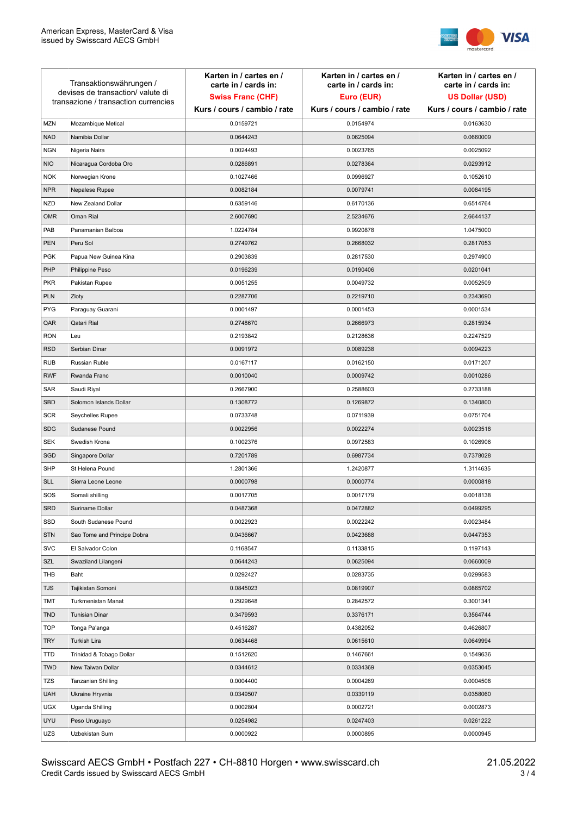

| Transaktionswährungen /<br>devises de transaction/valute di<br>transazione / transaction currencies |                             | Karten in / cartes en /<br>carte in / cards in:<br><b>Swiss Franc (CHF)</b><br>Kurs / cours / cambio / rate | Karten in / cartes en /<br>carte in / cards in:<br>Euro (EUR)<br>Kurs / cours / cambio / rate | Karten in / cartes en /<br>carte in / cards in:<br><b>US Dollar (USD)</b><br>Kurs / cours / cambio / rate |
|-----------------------------------------------------------------------------------------------------|-----------------------------|-------------------------------------------------------------------------------------------------------------|-----------------------------------------------------------------------------------------------|-----------------------------------------------------------------------------------------------------------|
|                                                                                                     |                             |                                                                                                             |                                                                                               |                                                                                                           |
| <b>MZN</b>                                                                                          | Mozambique Metical          | 0.0159721                                                                                                   | 0.0154974                                                                                     | 0.0163630                                                                                                 |
| <b>NAD</b>                                                                                          | Namibia Dollar              | 0.0644243                                                                                                   | 0.0625094                                                                                     | 0.0660009                                                                                                 |
| <b>NGN</b>                                                                                          | Nigeria Naira               | 0.0024493                                                                                                   | 0.0023765                                                                                     | 0.0025092                                                                                                 |
| <b>NIO</b>                                                                                          | Nicaragua Cordoba Oro       | 0.0286891                                                                                                   | 0.0278364                                                                                     | 0.0293912                                                                                                 |
| <b>NOK</b>                                                                                          | Norwegian Krone             | 0.1027466                                                                                                   | 0.0996927                                                                                     | 0.1052610                                                                                                 |
| <b>NPR</b>                                                                                          | Nepalese Rupee              | 0.0082184                                                                                                   | 0.0079741                                                                                     | 0.0084195                                                                                                 |
| <b>NZD</b>                                                                                          | New Zealand Dollar          | 0.6359146                                                                                                   | 0.6170136                                                                                     | 0.6514764                                                                                                 |
| <b>OMR</b>                                                                                          | Oman Rial                   | 2.6007690                                                                                                   | 2.5234676                                                                                     | 2.6644137                                                                                                 |
| PAB                                                                                                 | Panamanian Balboa           | 1.0224784                                                                                                   | 0.9920878                                                                                     | 1.0475000                                                                                                 |
| <b>PEN</b>                                                                                          | Peru Sol                    | 0.2749762                                                                                                   | 0.2668032                                                                                     | 0.2817053                                                                                                 |
| <b>PGK</b>                                                                                          | Papua New Guinea Kina       | 0.2903839                                                                                                   | 0.2817530                                                                                     | 0.2974900                                                                                                 |
| PHP                                                                                                 | Philippine Peso             | 0.0196239                                                                                                   | 0.0190406                                                                                     | 0.0201041                                                                                                 |
| <b>PKR</b>                                                                                          | Pakistan Rupee              | 0.0051255                                                                                                   | 0.0049732                                                                                     | 0.0052509                                                                                                 |
| <b>PLN</b>                                                                                          | Zloty                       | 0.2287706                                                                                                   | 0.2219710                                                                                     | 0.2343690                                                                                                 |
| <b>PYG</b>                                                                                          | Paraguay Guarani            | 0.0001497                                                                                                   | 0.0001453                                                                                     | 0.0001534                                                                                                 |
| QAR                                                                                                 | Qatari Rial                 | 0.2748670                                                                                                   | 0.2666973                                                                                     | 0.2815934                                                                                                 |
| <b>RON</b>                                                                                          | Leu                         | 0.2193842                                                                                                   | 0.2128636                                                                                     | 0.2247529                                                                                                 |
| <b>RSD</b>                                                                                          | Serbian Dinar               | 0.0091972                                                                                                   | 0.0089238                                                                                     | 0.0094223                                                                                                 |
| <b>RUB</b>                                                                                          | Russian Ruble               | 0.0167117                                                                                                   | 0.0162150                                                                                     | 0.0171207                                                                                                 |
| <b>RWF</b>                                                                                          | Rwanda Franc                | 0.0010040                                                                                                   | 0.0009742                                                                                     | 0.0010286                                                                                                 |
| SAR                                                                                                 | Saudi Riyal                 | 0.2667900                                                                                                   | 0.2588603                                                                                     | 0.2733188                                                                                                 |
| <b>SBD</b>                                                                                          | Solomon Islands Dollar      | 0.1308772                                                                                                   | 0.1269872                                                                                     | 0.1340800                                                                                                 |
| <b>SCR</b>                                                                                          | Seychelles Rupee            | 0.0733748                                                                                                   | 0.0711939                                                                                     | 0.0751704                                                                                                 |
| <b>SDG</b>                                                                                          | Sudanese Pound              | 0.0022956                                                                                                   | 0.0022274                                                                                     | 0.0023518                                                                                                 |
| <b>SEK</b>                                                                                          | Swedish Krona               | 0.1002376                                                                                                   | 0.0972583                                                                                     | 0.1026906                                                                                                 |
| SGD                                                                                                 | Singapore Dollar            | 0.7201789                                                                                                   | 0.6987734                                                                                     | 0.7378028                                                                                                 |
| <b>SHP</b>                                                                                          | St Helena Pound             | 1.2801366                                                                                                   | 1.2420877                                                                                     | 1.3114635                                                                                                 |
| <b>SLL</b>                                                                                          | Sierra Leone Leone          | 0.0000798                                                                                                   | 0.0000774                                                                                     | 0.0000818                                                                                                 |
| SOS                                                                                                 | Somali shilling             | 0.0017705                                                                                                   | 0.0017179                                                                                     | 0.0018138                                                                                                 |
| SRD                                                                                                 | Suriname Dollar             | 0.0487368                                                                                                   | 0.0472882                                                                                     | 0.0499295                                                                                                 |
| SSD                                                                                                 | South Sudanese Pound        | 0.0022923                                                                                                   | 0.0022242                                                                                     | 0.0023484                                                                                                 |
| <b>STN</b>                                                                                          | Sao Tome and Principe Dobra | 0.0436667                                                                                                   | 0.0423688                                                                                     | 0.0447353                                                                                                 |
| <b>SVC</b>                                                                                          | El Salvador Colon           | 0.1168547                                                                                                   | 0.1133815                                                                                     | 0.1197143                                                                                                 |
| SZL                                                                                                 | Swaziland Lilangeni         | 0.0644243                                                                                                   | 0.0625094                                                                                     | 0.0660009                                                                                                 |
| THB                                                                                                 | Baht                        | 0.0292427                                                                                                   | 0.0283735                                                                                     | 0.0299583                                                                                                 |
| TJS                                                                                                 | Tajikistan Somoni           | 0.0845023                                                                                                   | 0.0819907                                                                                     | 0.0865702                                                                                                 |
| TMT                                                                                                 | Turkmenistan Manat          | 0.2929648                                                                                                   | 0.2842572                                                                                     | 0.3001341                                                                                                 |
| <b>TND</b>                                                                                          | <b>Tunisian Dinar</b>       | 0.3479593                                                                                                   | 0.3376171                                                                                     | 0.3564744                                                                                                 |
| <b>TOP</b>                                                                                          | Tonga Pa'anga               | 0.4516287                                                                                                   | 0.4382052                                                                                     | 0.4626807                                                                                                 |
| <b>TRY</b>                                                                                          | Turkish Lira                | 0.0634468                                                                                                   | 0.0615610                                                                                     | 0.0649994                                                                                                 |
| TTD                                                                                                 | Trinidad & Tobago Dollar    | 0.1512620                                                                                                   | 0.1467661                                                                                     | 0.1549636                                                                                                 |
| <b>TWD</b>                                                                                          | New Taiwan Dollar           | 0.0344612                                                                                                   | 0.0334369                                                                                     | 0.0353045                                                                                                 |
| <b>TZS</b>                                                                                          | Tanzanian Shilling          | 0.0004400                                                                                                   | 0.0004269                                                                                     | 0.0004508                                                                                                 |
| <b>UAH</b>                                                                                          | Ukraine Hryvnia             | 0.0349507                                                                                                   | 0.0339119                                                                                     | 0.0358060                                                                                                 |
| <b>UGX</b>                                                                                          | Uganda Shilling             | 0.0002804                                                                                                   | 0.0002721                                                                                     | 0.0002873                                                                                                 |
| <b>UYU</b>                                                                                          | Peso Uruguayo               | 0.0254982                                                                                                   | 0.0247403                                                                                     | 0.0261222                                                                                                 |
| UZS                                                                                                 | Uzbekistan Sum              | 0.0000922                                                                                                   | 0.0000895                                                                                     | 0.0000945                                                                                                 |